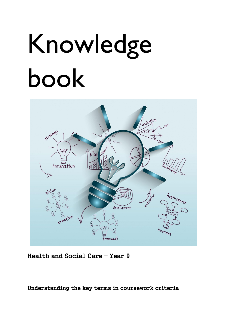## Knowledge book



Health and Social Care – Year 9

Understanding the key terms in coursework criteria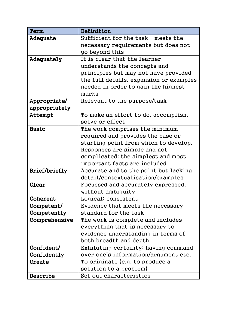| Term                 | Definition                              |
|----------------------|-----------------------------------------|
| Adequate             | Sufficient for the task – meets the     |
|                      | necessary requirements but does not     |
|                      | go beyond this                          |
| Adequately           | It is clear that the learner            |
|                      | understands the concepts and            |
|                      | principles but may not have provided    |
|                      | the full details, expansion or examples |
|                      | needed in order to gain the highest     |
|                      | marks                                   |
| Appropriate/         | Relevant to the purpose/task            |
| appropriately        |                                         |
| Attempt              | To make an effort to do, accomplish,    |
|                      | solve or effect                         |
| Basic                | The work comprises the minimum          |
|                      | required and provides the base or       |
|                      | starting point from which to develop.   |
|                      | Responses are simple and not            |
|                      | complicated; the simplest and most      |
|                      | important facts are included            |
| <b>Brief/briefly</b> | Accurate and to the point but lacking   |
|                      | detail/contextualisation/examples       |
| Clear                | Focussed and accurately expressed,      |
|                      | without ambiguity                       |
| Coherent             | Logical; consistent                     |
| Competent/           | Evidence that meets the necessary       |
| Competently          | standard for the task                   |
| Comprehensive        | The work is complete and includes       |
|                      | everything that is necessary to         |
|                      | evidence understanding in terms of      |
|                      | both breadth and depth                  |
| Confident/           | Exhibiting certainty; having command    |
| Confidently          | over one's information/argument etc.    |
| Create               | To originate (e.g. to produce a         |
|                      | solution to a problem)                  |
| Describe             | Set out characteristics                 |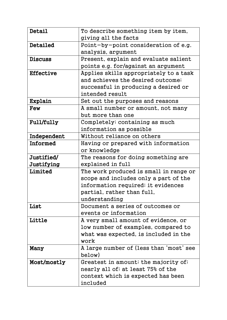| Detail           | To describe something item by item,     |
|------------------|-----------------------------------------|
|                  | giving all the facts                    |
| Detailed         | Point-by-point consideration of e.g.    |
|                  | analysis, argument                      |
| <b>Discuss</b>   | Present, explain and evaluate salient   |
|                  | points e.g. for/against an argument     |
| <b>Effective</b> | Applies skills appropriately to a task  |
|                  | and achieves the desired outcome;       |
|                  | successful in producing a desired or    |
|                  | intended result                         |
| Explain          | Set out the purposes and reasons        |
| Few              | A small number or amount, not many      |
|                  | but more than one                       |
| Full/fully       | Completely; containing as much          |
|                  | information as possible                 |
| Independent      | Without reliance on others              |
| Informed         | Having or prepared with information     |
|                  | or knowledge                            |
| Justified/       | The reasons for doing something are     |
| Justifying       | explained in full                       |
| Limited          | The work produced is small in range or  |
|                  | scope and includes only a part of the   |
|                  | information required; it evidences      |
|                  | partial, rather than full,              |
|                  | understanding                           |
| List             | Document a series of outcomes or        |
|                  | events or information                   |
| Little           | A very small amount of evidence, or     |
|                  | low number of examples, compared to     |
|                  | what was expected, is included in the   |
|                  | work                                    |
| Many             | A large number of (less than 'most' see |
|                  | below)                                  |
| Most/mostly      | Greatest in amount; the majority of;    |
|                  | nearly all of; at least 75% of the      |
|                  | context which is expected has been      |
|                  | included                                |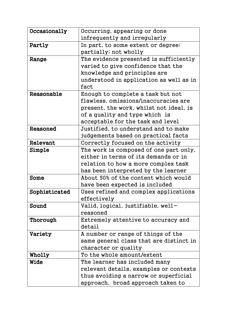| Occasionally  | Occurring, appearing or done            |
|---------------|-----------------------------------------|
|               | infrequently and irregularly            |
| Partly        | In part, to some extent or degree;      |
|               | partially; not wholly                   |
| Range         | The evidence presented is sufficiently  |
|               | varied to give confidence that the      |
|               | knowledge and principles are            |
|               | understood in application as well as in |
|               | fact                                    |
| Reasonable    | Enough to complete a task but not       |
|               | flawless, omissions/inaccuracies are    |
|               | present, the work, whilst not ideal, is |
|               | of a quality and type which is          |
|               | acceptable for the task and level       |
| Reasoned      | Justified, to understand and to make    |
|               | judgements based on practical facts     |
| Relevant      | Correctly focused on the activity       |
| Simple        | The work is composed of one part only,  |
|               | either in terms of its demands or in    |
|               | relation to how a more complex task     |
|               | has been interpreted by the learner     |
| Some          | About 50% of the content which would    |
|               | have been expected is included          |
| Sophisticated | Uses refined and complex applications   |
|               | effectively                             |
| Sound         | Valid, logical, justifiable, well-      |
|               | reasoned                                |
| Thorough      | Extremely attentive to accuracy and     |
|               | detail                                  |
| Variety       | A number or range of things of the      |
|               | same general class that are distinct in |
|               | character or quality                    |
| Wholly        | To the whole amount/extent              |
| <b>Wide</b>   | The learner has included many           |
|               | relevant details, examples or contexts  |
|               | thus avoiding a narrow or superficial   |
|               | approach, broad approach taken to       |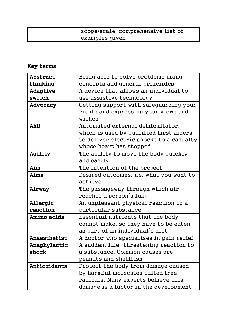| scope/scale; comprehensive list of |
|------------------------------------|
| examples given                     |

## Key terms

| Being able to solve problems using       |
|------------------------------------------|
| concepts and general principles          |
| A device that allows an individual to    |
| use assistive technology                 |
| Getting support with safeguarding your   |
| rights and expressing your views and     |
| wishes                                   |
| Automated external defibrillator.        |
| which is used by qualified first aiders  |
| to deliver electric shocks to a casualty |
| whose heart has stopped                  |
| The ability to move the body quickly     |
| and easily                               |
| The intention of the project             |
| Desired outcomes, i.e. what you want to  |
| achieve                                  |
| The passageway through which air         |
| reaches a person's lung                  |
| An unpleasant physical reaction to a     |
| particular substance                     |
| Essential nutrients that the body        |
| cannot make, so they have to be eaten    |
| as part of an individual's diet          |
| A doctor who specialises in pain relief  |
| A sudden, life-threatening reaction to   |
| a substance. Common causes are           |
| peanuts and shellfish                    |
| Protect the body from damage caused      |
| by harmful molecules called free         |
| radicals. Many experts believe this      |
| damage is a factor in the development    |
|                                          |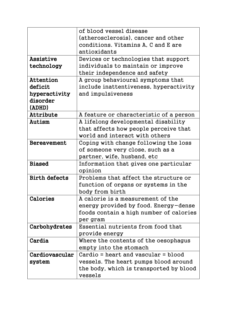|                      | of blood vessel disease                 |
|----------------------|-----------------------------------------|
|                      | (atherosclerosis), cancer and other     |
|                      | conditions. Vitamins A, C and E are     |
|                      | antioxidants                            |
| Assistive            | Devices or technologies that support    |
| technology           | individuals to maintain or improve      |
|                      | their independence and safety           |
| Attention            | A group behavioural symptoms that       |
| deficit              | include inattentiveness, hyperactivity  |
| hyperactivity        | and impulsiveness                       |
| disorder             |                                         |
| (ADHD)               |                                         |
| Attribute            | A feature or characteristic of a person |
| Autism               | A lifelong developmental disability     |
|                      | that affects how people perceive that   |
|                      | world and interact with others          |
| <b>Bereavement</b>   | Coping with change following the loss   |
|                      | of someone very close, such as a        |
|                      | partner, wife, husband, etc             |
| <b>Biased</b>        | Information that gives one particular   |
|                      | opinion                                 |
| <b>Birth defects</b> | Problems that affect the structure or   |
|                      | function of organs or systems in the    |
|                      | body from birth                         |
| Calories             | A calorie is a measurement of the       |
|                      | energy provided by food. Energy-dense   |
|                      | foods contain a high number of calories |
|                      | per gram                                |
| Carbohydrates        | Essential nutrients from food that      |
|                      | provide energy                          |
| Cardia               | Where the contents of the oesophagus    |
|                      | empty into the stomach                  |
| Cardiovascular       | $Cardio = heart$ and vascular = $blood$ |
| system               | vessels. The heart pumps blood around   |
|                      | the body, which is transported by blood |
|                      | vessels                                 |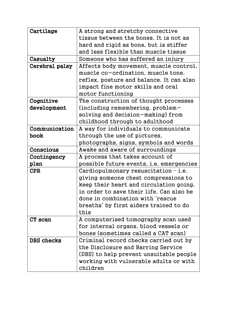| Cartilage      | A strong and stretchy connective                |
|----------------|-------------------------------------------------|
|                | tissue between the bones. It is not as          |
|                | hard and rigid as bone, but is stiffer          |
|                | and less flexible than muscle tissue            |
| Casualty       | Someone who has suffered an injury              |
| Cerebral palsy | Affects body movement, muscle control,          |
|                | muscle co-ordination, muscle tone,              |
|                | reflex, posture and balance. It can also        |
|                | impact fine motor skills and oral               |
|                | motor functioning                               |
| Cognitive      | The construction of thought processes           |
| development    | (including remembering, problem-                |
|                | solving and decision-making) from               |
|                | childhood through to adulthood                  |
| Communication  | A way for individuals to communicate            |
| book           | through the use of pictures,                    |
|                | photographs, signs, symbols and words           |
| Conscious      | Awake and aware of surroundings                 |
| Contingency    | A process that takes account of                 |
| plan           | possible future events, <i>i.e.</i> emergencies |
| <b>CPR</b>     | Cardiopulmonary resuscitation $-$ i.e.          |
|                | giving someone chest compressions to            |
|                | keep their heart and circulation going,         |
|                | in order to save their life. Can also be        |
|                | done in combination with 'rescue                |
|                | breaths' by first aiders trained to do          |
|                | this                                            |
| CT scan        | A computerised tomography scan used             |
|                | for internal organs, blood vessels or           |
|                | bones (sometimes called a CAT scan)             |
| DBS checks     | Criminal record checks carried out by           |
|                | the Disclosure and Barring Service              |
|                | (DBS) to help prevent unsuitable people         |
|                | working with vulnerable adults or with          |
|                | children                                        |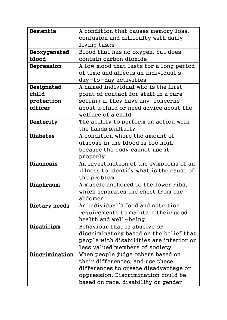| Dementia        | A condition that causes memory loss,     |
|-----------------|------------------------------------------|
|                 | confusion and difficulty with daily      |
|                 | living tasks                             |
| Deoxygenated    | Blood that has no oxygen, but does       |
| blood           | contain carbon dioxide                   |
| Depression      | A low mood that lasts for a long period  |
|                 | of time and affects an individual's      |
|                 | day-to-day activities                    |
| Designated      | A named individual who is the first      |
| child           | point of contact for staff in a care     |
| protection      | setting if they have any concerns        |
| officer         | about a child or need advice about the   |
|                 | welfare of a child                       |
| Dexterity       | The ability to perform an action with    |
|                 | the hands skilfully                      |
| <b>Diabetes</b> | A condition where the amount of          |
|                 | glucose in the blood is too high         |
|                 | because the body cannot use it           |
|                 | properly                                 |
| Diagnosis       | An investigation of the symptoms of an   |
|                 | illness to identify what is the cause of |
|                 | the problem                              |
| Diaphragm       | A muscle anchored to the lower ribs,     |
|                 | which separates the chest from the       |
|                 | abdomen                                  |
| Dietary needs   | An individual's food and nutrition       |
|                 | requirements to maintain their good      |
|                 | health and well-being                    |
| Disabilism      | Behaviour that is abusive or             |
|                 | discriminatory based on the belief that  |
|                 | people with disabilities are interior or |
|                 | less valued members of society           |
| Discrimination  | When people judge others based on        |
|                 | their differences, and use these         |
|                 | differences to create disadvantage or    |
|                 | oppression. Discrimination could be      |
|                 | based on race, disability or gender      |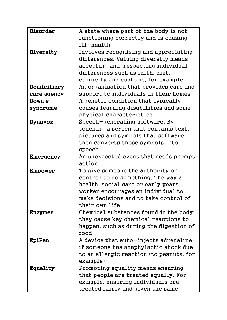| Disorder    | A state where part of the body is not    |
|-------------|------------------------------------------|
|             | functioning correctly and is causing     |
|             | ill-health                               |
| Diversity   | Involves recognising and appreciating    |
|             | differences. Valuing diversity means     |
|             | accepting and respecting individual      |
|             | differences such as faith, diet,         |
|             | ethnicity and customs, for example       |
| Domiciliary | An organisation that provides care and   |
| care agency | support to individuals in their homes    |
| Down's      | A genetic condition that typically       |
| syndrome    | causes learning disabilities and some    |
|             | physical characteristics                 |
| Dynavox     | Speech-generating software. By           |
|             | touching a screen that contains text,    |
|             | pictures and symbols that software       |
|             | then converts those symbols into         |
|             | speech                                   |
| Emergency   | An unexpected event that needs prompt    |
|             | action                                   |
| Empower     | To give someone the authority or         |
|             | control to do something. The way a       |
|             | health, social care or early years       |
|             | worker encourages an individual to       |
|             | make decisions and to take control of    |
|             | their own life                           |
| Enzymes     | Chemical substances found in the body;   |
|             | they cause key chemical reactions to     |
|             | happen, such as during the digestion of  |
|             | food                                     |
| EpiPen      | A device that auto-injects adrenaline    |
|             | if someone has anaphylactic shock due    |
|             | to an allergic reaction (to peanuts, for |
|             | example)                                 |
| Equality    | Promoting equality means ensuring        |
|             | that people are treated equally. For     |
|             | example, ensuring individuals are        |
|             | treated fairly and given the same        |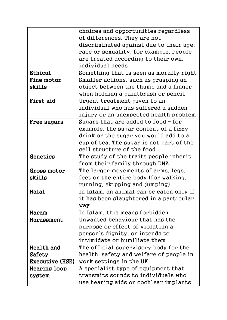|                        | choices and opportunities regardless     |
|------------------------|------------------------------------------|
|                        | of differences. They are not             |
|                        | discriminated against due to their age,  |
|                        | race or sexuality, for example. People   |
|                        | are treated according to their own,      |
|                        | individual needs                         |
| Ethical                | Something that is seen as morally right  |
| <b>Fine motor</b>      | Smaller actions, such as grasping an     |
| skills                 | object between the thumb and a finger    |
|                        | when holding a paintbrush or pencil      |
| First aid              | Urgent treatment given to an             |
|                        | individual who has suffered a sudden     |
|                        | injury or an unexpected health problem   |
| Free sugars            | Sugars that are added to food $-$ for    |
|                        | example, the sugar content of a fizzy    |
|                        | drink or the sugar you would add to a    |
|                        | cup of tea. The sugar is not part of the |
|                        | cell structure of the food               |
| Genetics               | The study of the traits people inherit   |
|                        | from their family through DNA            |
| Gross motor            | The larger movements of arms, legs,      |
| skills                 | feet or the entire body (for walking,    |
|                        | running, skipping and jumping)           |
| Halal                  | In Islam, an animal can be eaten only if |
|                        | it has been slaughtered in a particular  |
|                        | way                                      |
| Haram                  | In Islam, this means forbidden           |
| Harassment             | Unwanted behaviour that has the          |
|                        | purpose or effect of violating a         |
|                        | person's dignity, or intends to          |
|                        | intimidate or humiliate them             |
| Health and             | The official supervisory body for the    |
| Safety                 | health, safety and welfare of people in  |
| <b>Executive (HSE)</b> | work settings in the UK                  |
| Hearing loop           | A specialist type of equipment that      |
| system                 | transmits sounds to individuals who      |
|                        | use hearing aids or cochlear implants    |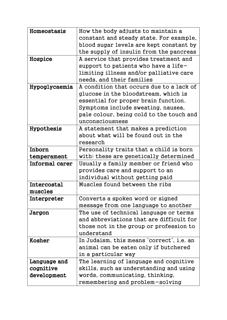| Homeostasis    | How the body adjusts to maintain a        |
|----------------|-------------------------------------------|
|                | constant and steady state. For example,   |
|                | blood sugar levels are kept constant by   |
|                | the supply of insulin from the pancreas   |
| Hospice        | A service that provides treatment and     |
|                | support to patients who have a life-      |
|                | limiting illness and/or palliative care   |
|                | needs, and their families                 |
| Hypoglycaemia  | A condition that occurs due to a lack of  |
|                | glucose in the bloodstream, which is      |
|                | essential for proper brain function.      |
|                | Symptoms include sweating, nausea,        |
|                | pale colour, being cold to the touch and  |
|                | unconsciousness                           |
| Hypothesis     | A statement that makes a prediction       |
|                | about what will be found out in the       |
|                | research                                  |
| Inborn         | Personality traits that a child is born   |
| temperament    | with; these are genetically determined    |
| Informal carer | Usually a family member or friend who     |
|                | provides care and support to an           |
|                | individual without getting paid           |
| Intercostal    | Muscles found between the ribs            |
| muscles        |                                           |
| Interpreter    | Converts a spoken word or signed          |
|                | message from one language to another      |
| Jargon         | The use of technical language or terms    |
|                | and abbreviations that are difficult for  |
|                | those not in the group or profession to   |
|                | understand                                |
| Kosher         | In Judaism, this means 'correct', i.e. an |
|                | animal can be eaten only if butchered     |
|                | in a particular way                       |
| Language and   | The learning of language and cognitive    |
| cognitive      | skills, such as understanding and using   |
| development    | words, communicating, thinking,           |
|                | remembering and problem-solving           |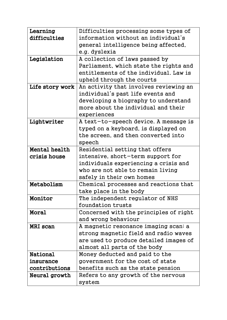| Learning        | Difficulties processing some types of  |
|-----------------|----------------------------------------|
| difficulties    | information without an individual's    |
|                 | general intelligence being affected,   |
|                 | e.g. dyslexia                          |
| Legislation     | A collection of laws passed by         |
|                 | Parliament, which state the rights and |
|                 | entitlements of the individual. Law is |
|                 | upheld through the courts              |
| Life story work | An activity that involves reviewing an |
|                 | individual's past life events and      |
|                 | developing a biography to understand   |
|                 | more about the individual and their    |
|                 | experiences                            |
| Lightwriter     | A text-to-speech device. A message is  |
|                 | typed on a keyboard, is displayed on   |
|                 | the screen, and then converted into    |
|                 | speech                                 |
| Mental health   | Residential setting that offers        |
| crisis house    | intensive, short-term support for      |
|                 | individuals experiencing a crisis and  |
|                 | who are not able to remain living      |
|                 | safely in their own homes              |
| Metabolism      | Chemical processes and reactions that  |
|                 | take place in the body                 |
| Monitor         | The independent regulator of NHS       |
|                 | foundation trusts                      |
| Moral           | Concerned with the principles of right |
|                 | and wrong behaviour                    |
| MRI scan        | A magnetic resonance imaging scan; a   |
|                 | strong magnetic field and radio waves  |
|                 | are used to produce detailed images of |
|                 | almost all parts of the body           |
| <b>National</b> | Money deducted and paid to the         |
| insurance       | government for the cost of state       |
| contributions   | benefits such as the state pension     |
| Neural growth   | Refers to any growth of the nervous    |
|                 | system                                 |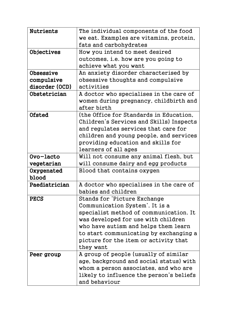| <b>Nutrients</b> | The individual components of the food    |
|------------------|------------------------------------------|
|                  | we eat. Examples are vitamins, protein,  |
|                  | fats and carbohydrates                   |
| Objectives       | How you intend to meet desired           |
|                  | outcomes, i.e. how are you going to      |
|                  | achieve what you want                    |
| Obsessive        | An anxiety disorder characterised by     |
| compulsive       | obsessive thoughts and compulsive        |
| disorder (OCD)   | activities                               |
| Obstetrician     | A doctor who specialises in the care of  |
|                  | women during pregnancy, childbirth and   |
|                  | after birth                              |
| Ofsted           | (the Office for Standards in Education,  |
|                  | Children's Services and Skills) Inspects |
|                  | and regulates services that care for     |
|                  | children and young people, and services  |
|                  | providing education and skills for       |
|                  | learners of all ages                     |
| Ovo-lacto        | Will not consume any animal flesh, but   |
| vegetarian       | will consume dairy and egg products      |
| Oxygenated       | Blood that contains oxygen               |
| blood            |                                          |
| Paediatrician    | A doctor who specialises in the care of  |
|                  | babies and children                      |
| <b>PECS</b>      | Stands for 'Picture Exchange             |
|                  | Communication System'. It is a           |
|                  | specialist method of communication. It   |
|                  | was developed for use with children      |
|                  | who have autism and helps them learn     |
|                  | to start communicating by exchanging a   |
|                  | picture for the item or activity that    |
|                  | they want                                |
| Peer group       | A group of people (usually of similar    |
|                  | age, background and social status) with  |
|                  | whom a person associates, and who are    |
|                  | likely to influence the person's beliefs |
|                  | and behaviour                            |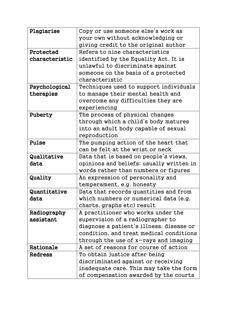| Plagiarise     | Copy or use someone else's work as       |
|----------------|------------------------------------------|
|                | your own without acknowledging or        |
|                | giving credit to the original author     |
| Protected      | Refers to nine characteristics           |
| characteristic | identified by the Equality Act. It is    |
|                | unlawful to discriminate against         |
|                | someone on the basis of a protected      |
|                | characteristic                           |
| Psychological  | Techniques used to support individuals   |
| therapies      | to manage their mental health and        |
|                | overcome any difficulties they are       |
|                | experiencing                             |
| Puberty        | The process of physical changes          |
|                | through which a child's body matures     |
|                | into an adult body capable of sexual     |
|                | reproduction                             |
| Pulse          | The pumping action of the heart that     |
|                | can be felt at the wrist or neck         |
| Qualitative    | Data that is based on people's views,    |
| data           | opinions and beliefs; usually written in |
|                | words rather than numbers or figures     |
| Quality        | An expression of personality and         |
|                | temperament, e.g. honesty                |
| Quantitative   | Data that records quantities and from    |
| data           | which numbers or numerical data (e.g.    |
|                | charts, graphs etc) result               |
| Radiography    | A practitioner who works under the       |
| assistant      | supervision of a radiographer to         |
|                | diagnose a patient's illness, disease or |
|                | condition, and treat medical conditions  |
|                |                                          |
|                | through the use of $x$ -rays and imaging |
| Rationale      | A set of reasons for course of action    |
| <b>Redress</b> | To obtain justice after being            |
|                | discriminated against or receiving       |
|                | inadequate care. This may take the form  |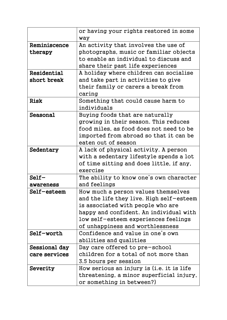|               | or having your rights restored in some    |
|---------------|-------------------------------------------|
|               | way                                       |
| Reminiscence  | An activity that involves the use of      |
| therapy       | photographs, music or familiar objects    |
|               | to enable an individual to discuss and    |
|               | share their past life experiences         |
| Residential   | A holiday where children can socialise    |
| short break   | and take part in activities to give       |
|               | their family or carers a break from       |
|               | caring                                    |
| <b>Risk</b>   | Something that could cause harm to        |
|               | individuals                               |
| Seasonal      | Buying foods that are naturally           |
|               | growing in their season. This reduces     |
|               | food miles, as food does not need to be   |
|               | imported from abroad so that it can be    |
|               | eaten out of season                       |
| Sedentary     | A lack of physical activity. A person     |
|               | with a sedentary lifestyle spends a lot   |
|               | of time sitting and does little, if any,  |
|               | exercise                                  |
| $Self-$       | The ability to know one's own character   |
| awareness     | and feelings                              |
| Self-esteem   | How much a person values themselves       |
|               | and the life they live. High self-esteem  |
|               | is associated with people who are         |
|               | happy and confident. An individual with   |
|               | low self-esteem experiences feelings      |
|               | of unhappiness and worthlessness          |
| Self-worth    | Confidence and value in one's own         |
|               | abilities and qualities                   |
| Sessional day | Day care offered to pre-school            |
| care services | children for a total of not more than     |
|               | 3.5 hours per session                     |
| Severity      | How serious an injury is (i.e. it is life |
|               | threatening, a minor superficial injury,  |
|               | or something in between?)                 |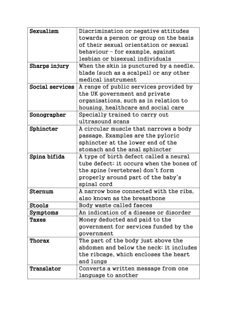| Sexualism       | Discrimination or negative attitudes     |
|-----------------|------------------------------------------|
|                 | towards a person or group on the basis   |
|                 | of their sexual orientation or sexual    |
|                 | behaviour – for example, against         |
|                 | lesbian or bisexual individuals          |
| Sharps injury   | When the skin is punctured by a needle,  |
|                 | blade (such as a scalpel) or any other   |
|                 | medical instrument                       |
| Social services | A range of public services provided by   |
|                 | the UK government and private            |
|                 | organisations, such as in relation to    |
|                 | housing, healthcare and social care      |
| Sonographer     | Specially trained to carry out           |
|                 | ultrasound scans                         |
| Sphincter       | A circular muscle that narrows a body    |
|                 | passage. Examples are the pyloric        |
|                 | sphincter at the lower end of the        |
|                 | stomach and the anal sphincter           |
|                 |                                          |
| Spina bifida    | A type of birth defect called a neural   |
|                 | tube defect; it occurs when the bones of |
|                 | the spine (vertebrae) don't form         |
|                 | properly around part of the baby's       |
|                 | spinal cord                              |
| Sternum         | A narrow bone connected with the ribs.   |
|                 | also known as the breastbone             |
| <b>Stools</b>   | Body waste called faeces                 |
| Symptoms        | An indication of a disease or disorder   |
| Taxes           | Money deducted and paid to the           |
|                 | government for services funded by the    |
|                 | government                               |
| Thorax          | The part of the body just above the      |
|                 | abdomen and below the neck; it includes  |
|                 | the ribcage, which encloses the heart    |
|                 | and lungs                                |
| Translator      | Converts a written message from one      |